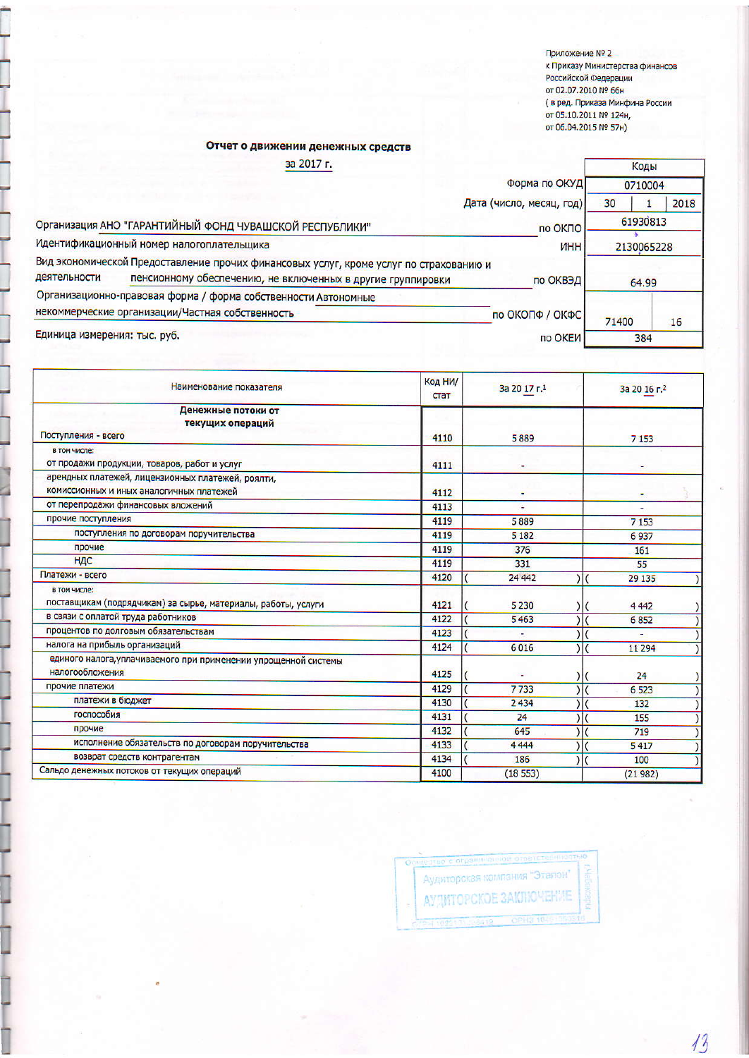Приложение № 2 к Приказу Министерства финансов Российской Федерации от 02.07.2010 № 66н стред. Приказа Минфина России<br>от 05.10.2011 № 124н, от 06.04.2015 № 57н)

## Отчет о движении денежных средств

Ì

| Форма по ОКУД<br>Дата (число, месяц, год)<br>по ОКПО<br>Идентификационный номер налогоплательщика<br><b>NHH</b>                                   | 0710004<br>30 | 2018 |
|---------------------------------------------------------------------------------------------------------------------------------------------------|---------------|------|
| Организация АНО "ГАРАНТИЙНЫЙ ФОНД ЧУВАШСКОЙ РЕСПУБЛИКИ"<br>Вид экономической Предоставление прочих финансовых услуг, кроме услуг по страхованию и |               |      |
|                                                                                                                                                   |               |      |
|                                                                                                                                                   | 61930813      |      |
|                                                                                                                                                   | 2130065228    |      |
|                                                                                                                                                   |               |      |
| деятельности<br>пенсионному обеспечению, не включенных в другие группировки<br>по ОКВЭД                                                           | 64.99         |      |
| Организационно-правовая форма / форма собственности Автономные                                                                                    |               |      |
| некоммерческие организации/Частная собственность<br>по ОКОПФ / ОКФС                                                                               | 71400         | 16   |
| Единица измерения: тыс. руб.<br>по ОКЕИ                                                                                                           | 384           |      |

| Наименование показателя                                                            | Код НИ/<br>стат | За 20 17 г.1 | За 20 16 г.2 |
|------------------------------------------------------------------------------------|-----------------|--------------|--------------|
| Денежные потоки от<br>текущих операций                                             |                 |              |              |
| Поступления - всего                                                                | 4110            | 5889         | 7 1 5 3      |
| в том числе:                                                                       |                 |              |              |
| от продажи продукции, товаров, работ и услуг                                       | 4111            |              |              |
| арендных платежей, лицензионных платежей, роялти,                                  |                 |              |              |
| комиссионных и иных аналогичных платежей                                           | 4112            |              |              |
| от перепродажи финансовых вложений                                                 | 4113            | ٠            |              |
| прочие поступления                                                                 | 4119            | 5889         | 7 1 5 3      |
| поступления по договорам поручительства                                            | 4119            | 5 1 8 2      | 6937         |
| прочие                                                                             | 4119            | 376          | 161          |
| НДС                                                                                | 4119            | 331          | 55           |
| Платежи - всего                                                                    | 4120            | 24 4 4 2     | 29 135       |
| в том числе:                                                                       |                 |              |              |
| поставщикам (подрядчикам) за сырье, материалы, работы, услуги                      | 4121            | 5 2 3 0      | 4442         |
| в связи с оплатой труда работников                                                 | 4122            | 5463         | 6852         |
| процентов по долговым обязательствам                                               | 4123            |              |              |
| налога на прибыль организаций                                                      | 4124            | 6016         | 11 294       |
| единого налога, уплачиваемого при применении упрощенной системы<br>налогообложения | 4125            |              | 24           |
| прочие платежи                                                                     | 4129            | 7733         | 6 5 23       |
| платежи в бюджет                                                                   | 4130            | 2434         | 132          |
| госпособия                                                                         | 4131            | 24           | 155          |
| прочие                                                                             | 4132            | 645          | 719          |
| исполнение обязательств по договорам поручительства                                | 4133            | 4444         | 5417         |
| возврат средств контрагентам                                                       | 4134            | 186          | 100          |
| Сальдо денежных потоков от текущих операций                                        | 4100            | (18553)      | (21982)      |

Аудиторская компания "Эталон" **АУДИТОРСКОЕ ЗАКЛЮЧЕНИЕ** 

13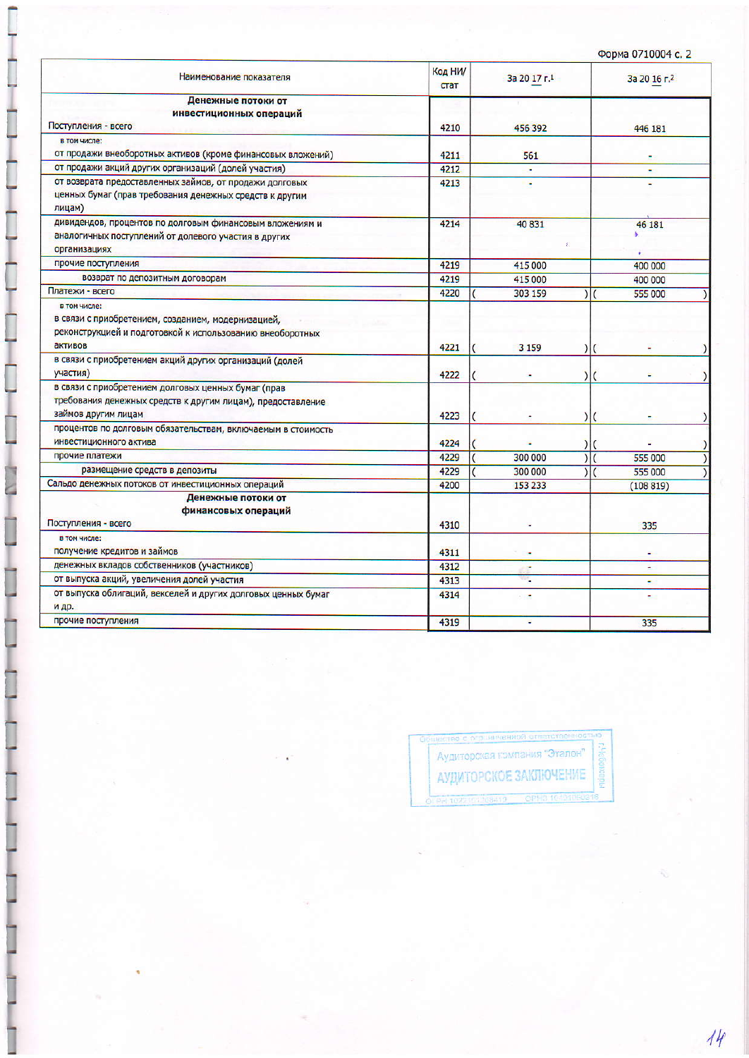| Наименование показателя                                                                                                                    | Код НИ/<br>стат | За 20 17 г.1             | За 20 16 г.2             |
|--------------------------------------------------------------------------------------------------------------------------------------------|-----------------|--------------------------|--------------------------|
| Денежные потоки от                                                                                                                         |                 |                          |                          |
| инвестиционных операций<br>Поступления - всего                                                                                             | 4210            | 456 392                  | 446 181                  |
| в том числе:                                                                                                                               |                 |                          |                          |
| от продажи внеоборотных активов (кроме финансовых вложений)                                                                                | 4211            | 561                      |                          |
| от продажи акций других организаций (долей участия)                                                                                        | 4212            | ٠                        | ٠                        |
| от возврата предоставленных займов, от продажи долговых<br>ценных бумаг (прав требования денежных средств к другим<br>лицам)               | 4213            | ٠                        |                          |
| дивидендов, процентов по долговым финансовым вложениям и<br>аналогичных поступлений от долевого участия в других                           | 4214            | 40831<br>×               | 46 181<br>۸              |
| организациях                                                                                                                               |                 |                          |                          |
| прочие поступления                                                                                                                         | 4219            | 415 000                  | 400 000                  |
| возврат по депозитным договорам                                                                                                            | 4219            | 415 000                  | 400 000                  |
| Платежи - всего                                                                                                                            | 4220            | 303 159                  | $\frac{1}{2}$<br>555 000 |
| в том числе:<br>в связи с приобретением, созданием, модернизацией,<br>реконструкцией и подготовкой к использованию внеоборотных<br>активов | 4221            | 3 1 5 9<br>$\mathcal{E}$ |                          |
| в связи с приобретением акций других организаций (долей<br>участия)                                                                        | 4222            |                          |                          |
| в связи с приобретением долговых ценных бумаг (прав<br>требования денежных средств к другим лицам), предоставление<br>займов другим лицам  | 4223            | $\vert$                  |                          |
| процентов по долговым обязательствам, включаемым в стоимость<br>инвестиционного актива                                                     | 4224            | $\mathcal{E}$            |                          |
| прочие платежи                                                                                                                             | 4229            | 300 000                  | 555 000                  |
| размещение средств в депозиты                                                                                                              | 4229            | 300 000                  | 555 000                  |
| Сальдо денежных потоков от инвестиционных операций                                                                                         | 4200            | 153 233                  | (108819)                 |
| Денежные потоки от<br>финансовых операций<br>Поступления - всего                                                                           | 4310            |                          | 335                      |
| в том числе:                                                                                                                               |                 |                          |                          |
| получение кредитов и займов                                                                                                                | 4311            |                          |                          |
| денежных вкладов собственников (участников)                                                                                                | 4312            | ×                        | ٠                        |
| от выпуска акций, увеличения долей участия                                                                                                 | 4313            |                          |                          |
| от выпуска облигаций, векселей и других долговых ценных бумаг<br>и др.                                                                     | 4314            | ٠                        |                          |
| прочие поступления                                                                                                                         | 4319            | ٠                        | 335                      |

ſ

ţ

į

ļ

ļ

Аудиторская компания "Эталон" á, АУДИТОРСКОЕ ЗАКЛЮЧЕНИЕ

 $44$